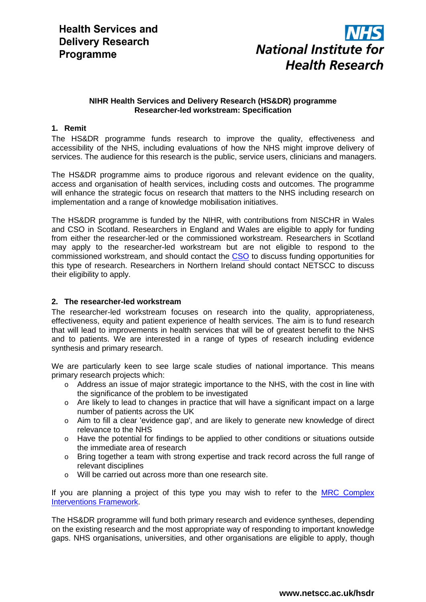

# **NIHR Health Services and Delivery Research (HS&DR) programme Researcher-led workstream: Specification**

# **1. Remit**

The HS&DR programme funds research to improve the quality, effectiveness and accessibility of the NHS, including evaluations of how the NHS might improve delivery of services. The audience for this research is the public, service users, clinicians and managers.

The HS&DR programme aims to produce rigorous and relevant evidence on the quality, access and organisation of health services, including costs and outcomes. The programme will enhance the strategic focus on research that matters to the NHS including research on implementation and a range of knowledge mobilisation initiatives.

The HS&DR programme is funded by the NIHR, with contributions from NISCHR in Wales and CSO in Scotland. Researchers in England and Wales are eligible to apply for funding from either the researcher-led or the commissioned workstream. Researchers in Scotland may apply to the researcher-led workstream but are not eligible to respond to the commissioned workstream, and should contact the [CSO](http://www.cso.scot.nhs.uk/) to discuss funding opportunities for this type of research. Researchers in Northern Ireland should contact NETSCC to discuss their eligibility to apply.

## **2. The researcher-led workstream**

The researcher-led workstream focuses on research into the quality, appropriateness, effectiveness, equity and patient experience of health services. The aim is to fund research that will lead to improvements in health services that will be of greatest benefit to the NHS and to patients. We are interested in a range of types of research including evidence synthesis and primary research.

We are particularly keen to see large scale studies of national importance. This means primary research projects which:

- o Address an issue of major strategic importance to the NHS, with the cost in line with the significance of the problem to be investigated
- o Are likely to lead to changes in practice that will have a significant impact on a large number of patients across the UK
- $\circ$  Aim to fill a clear 'evidence gap', and are likely to generate new knowledge of direct relevance to the NHS
- o Have the potential for findings to be applied to other conditions or situations outside the immediate area of research
- o Bring together a team with strong expertise and track record across the full range of relevant disciplines
- o Will be carried out across more than one research site.

If you are planning a project of this type you may wish to refer to the MRC Complex [Interventions Framework.](http://www.mrc.ac.uk/Utilities/Documentrecord/index.htm?d=MRC004871)

The HS&DR programme will fund both primary research and evidence syntheses, depending on the existing research and the most appropriate way of responding to important knowledge gaps. NHS organisations, universities, and other organisations are eligible to apply, though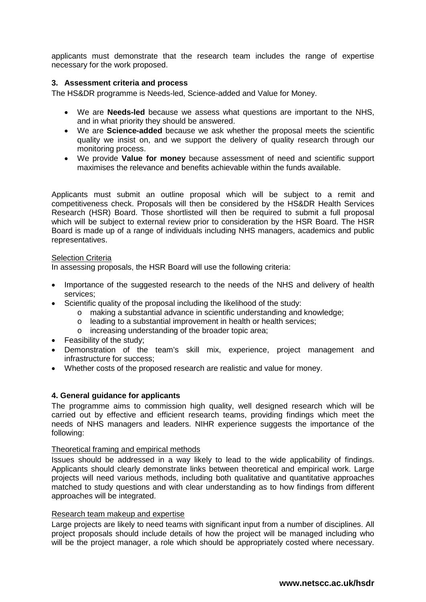applicants must demonstrate that the research team includes the range of expertise necessary for the work proposed.

### **3. Assessment criteria and process**

The HS&DR programme is Needs-led, Science-added and Value for Money.

- We are **Needs-led** because we assess what questions are important to the NHS, and in what priority they should be answered.
- We are **Science-added** because we ask whether the proposal meets the scientific quality we insist on, and we support the delivery of quality research through our monitoring process.
- We provide **Value for money** because assessment of need and scientific support maximises the relevance and benefits achievable within the funds available.

Applicants must submit an outline proposal which will be subject to a remit and competitiveness check. Proposals will then be considered by the HS&DR Health Services Research (HSR) Board. Those shortlisted will then be required to submit a full proposal which will be subject to external review prior to consideration by the HSR Board. The HSR Board is made up of a range of individuals including NHS managers, academics and public representatives.

#### Selection Criteria

In assessing proposals, the HSR Board will use the following criteria:

- Importance of the suggested research to the needs of the NHS and delivery of health services;
- Scientific quality of the proposal including the likelihood of the study:
	- o making a substantial advance in scientific understanding and knowledge;
	- o leading to a substantial improvement in health or health services;
	- o increasing understanding of the broader topic area;
- Feasibility of the study;
- Demonstration of the team's skill mix, experience, project management and infrastructure for success;
- Whether costs of the proposed research are realistic and value for money.

#### **4. General guidance for applicants**

The programme aims to commission high quality, well designed research which will be carried out by effective and efficient research teams, providing findings which meet the needs of NHS managers and leaders. NIHR experience suggests the importance of the following:

#### Theoretical framing and empirical methods

Issues should be addressed in a way likely to lead to the wide applicability of findings. Applicants should clearly demonstrate links between theoretical and empirical work. Large projects will need various methods, including both qualitative and quantitative approaches matched to study questions and with clear understanding as to how findings from different approaches will be integrated.

#### Research team makeup and expertise

Large projects are likely to need teams with significant input from a number of disciplines. All project proposals should include details of how the project will be managed including who will be the project manager, a role which should be appropriately costed where necessary.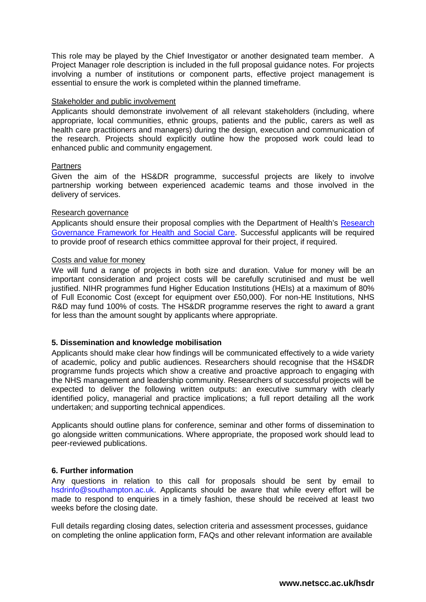This role may be played by the Chief Investigator or another designated team member. A Project Manager role description is included in the full proposal guidance notes. For projects involving a number of institutions or component parts, effective project management is essential to ensure the work is completed within the planned timeframe.

#### Stakeholder and public involvement

Applicants should demonstrate involvement of all relevant stakeholders (including, where appropriate, local communities, ethnic groups, patients and the public, carers as well as health care practitioners and managers) during the design, execution and communication of the research. Projects should explicitly outline how the proposed work could lead to enhanced public and community engagement.

### Partners

Given the aim of the HS&DR programme, successful projects are likely to involve partnership working between experienced academic teams and those involved in the delivery of services.

### Research governance

Applicants should ensure their proposal complies with the Department of Health's [Research](http://www.dh.gov.uk/en/publicationsandstatistics/publications/publicationspolicyandguidance/dh_4108962)  [Governance Framework for Health and Social Care.](http://www.dh.gov.uk/en/publicationsandstatistics/publications/publicationspolicyandguidance/dh_4108962) Successful applicants will be required to provide proof of research ethics committee approval for their project, if required.

### Costs and value for money

We will fund a range of projects in both size and duration. Value for money will be an important consideration and project costs will be carefully scrutinised and must be well justified. NIHR programmes fund Higher Education Institutions (HEIs) at a maximum of 80% of Full Economic Cost (except for equipment over £50,000). For non-HE Institutions, NHS R&D may fund 100% of costs. The HS&DR programme reserves the right to award a grant for less than the amount sought by applicants where appropriate.

## **5. Dissemination and knowledge mobilisation**

Applicants should make clear how findings will be communicated effectively to a wide variety of academic, policy and public audiences. Researchers should recognise that the HS&DR programme funds projects which show a creative and proactive approach to engaging with the NHS management and leadership community. Researchers of successful projects will be expected to deliver the following written outputs: an executive summary with clearly identified policy, managerial and practice implications; a full report detailing all the work undertaken; and supporting technical appendices.

Applicants should outline plans for conference, seminar and other forms of dissemination to go alongside written communications. Where appropriate, the proposed work should lead to peer-reviewed publications.

## **6. Further information**

Any questions in relation to this call for proposals should be sent by email to hsdrinfo@southampton.ac.uk. Applicants should be aware that while every effort will be made to respond to enquiries in a timely fashion, these should be received at least two weeks before the closing date.

Full details regarding closing dates, selection criteria and assessment processes, guidance on completing the online application form, FAQs and other relevant information are available